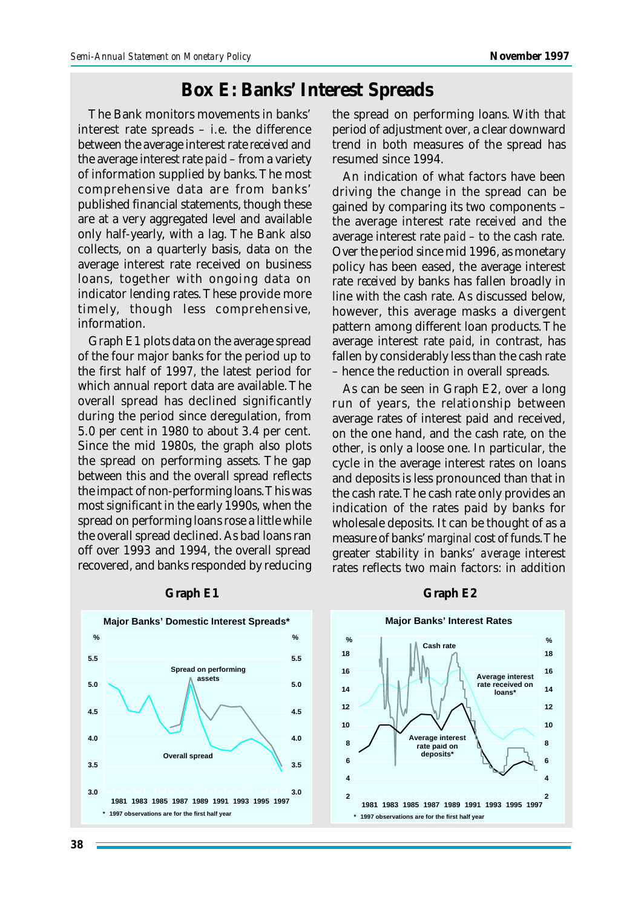# **Box E: Banks' Interest Spreads**

The Bank monitors movements in banks' interest rate spreads – i.e. the difference between the average interest rate *received* and the average interest rate *paid* – from a variety of information supplied by banks. The most comprehensive data are from banks' published financial statements, though these are at a very aggregated level and available only half-yearly, with a lag. The Bank also collects, on a quarterly basis, data on the average interest rate received on business loans, together with ongoing data on indicator lending rates. These provide more timely, though less comprehensive, information.

Graph E1 plots data on the average spread of the four major banks for the period up to the first half of 1997, the latest period for which annual report data are available. The overall spread has declined significantly during the period since deregulation, from 5.0 per cent in 1980 to about 3.4 per cent. Since the mid 1980s, the graph also plots the spread on performing assets. The gap between this and the overall spread reflects the impact of non-performing loans. This was most significant in the early 1990s, when the spread on performing loans rose a little while the overall spread declined. As bad loans ran off over 1993 and 1994, the overall spread recovered, and banks responded by reducing the spread on performing loans. With that period of adjustment over, a clear downward trend in both measures of the spread has resumed since 1994.

An indication of what factors have been driving the change in the spread can be gained by comparing its two components – the average interest rate *received* and the average interest rate *paid* – to the cash rate. Over the period since mid 1996, as monetary policy has been eased, the average interest rate *received* by banks has fallen broadly in line with the cash rate. As discussed below, however, this average masks a divergent pattern among different loan products. The average interest rate *paid*, in contrast, has fallen by considerably less than the cash rate – hence the reduction in overall spreads.

As can be seen in Graph E2, over a long run of years, the relationship between average rates of interest paid and received, on the one hand, and the cash rate, on the other, is only a loose one. In particular, the cycle in the average interest rates on loans and deposits is less pronounced than that in the cash rate. The cash rate only provides an indication of the rates paid by banks for wholesale deposits. It can be thought of as a measure of banks' *marginal* cost of funds. The greater stability in banks' *average* interest rates reflects two main factors: in addition



#### **Graph E1 Graph E2**

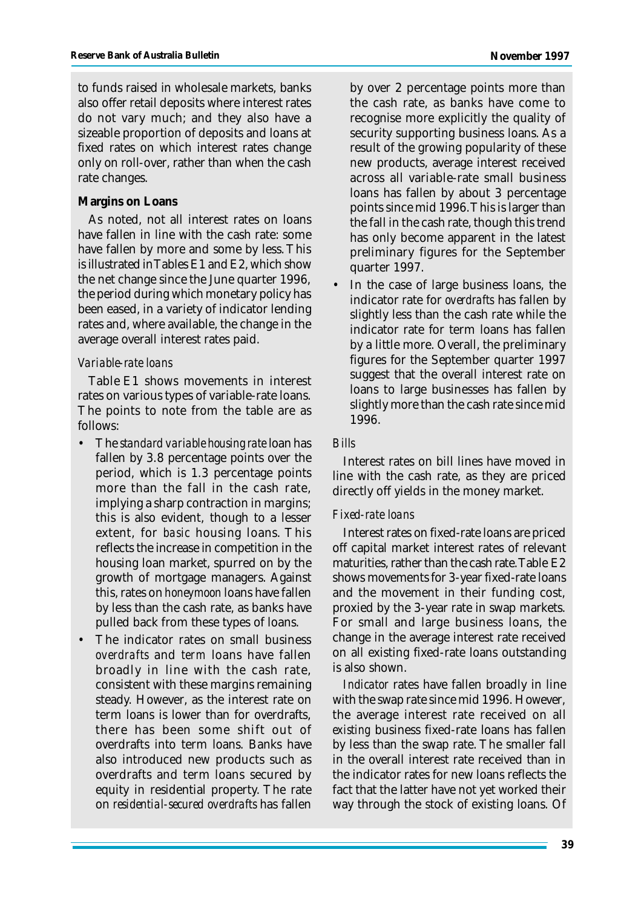to funds raised in wholesale markets, banks also offer retail deposits where interest rates do not vary much; and they also have a sizeable proportion of deposits and loans at fixed rates on which interest rates change only on roll-over, rather than when the cash rate changes.

#### **Margins on Loans**

As noted, not all interest rates on loans have fallen in line with the cash rate: some have fallen by more and some by less. This is illustrated in Tables E1 and E2, which show the net change since the June quarter 1996, the period during which monetary policy has been eased, in a variety of indicator lending rates and, where available, the change in the average overall interest rates paid.

#### *Variable-rate loans*

Table E1 shows movements in interest rates on various types of variable-rate loans. The points to note from the table are as follows:

- The *standard variable housing rate* loan has fallen by 3.8 percentage points over the period, which is 1.3 percentage points more than the fall in the cash rate, implying a sharp contraction in margins; this is also evident, though to a lesser extent, for *basic* housing loans. This reflects the increase in competition in the housing loan market, spurred on by the growth of mortgage managers. Against this, rates on *honeymoon* loans have fallen by less than the cash rate, as banks have pulled back from these types of loans.
- The indicator rates on small business *overdrafts* and *term* loans have fallen broadly in line with the cash rate, consistent with these margins remaining steady. However, as the interest rate on term loans is lower than for overdrafts, there has been some shift out of overdrafts into term loans. Banks have also introduced new products such as overdrafts and term loans secured by equity in residential property. The rate on *residential-secured overdrafts* has fallen

by over 2 percentage points more than the cash rate, as banks have come to recognise more explicitly the quality of security supporting business loans. As a result of the growing popularity of these new products, average interest received across all variable-rate small business loans has fallen by about 3 percentage points since mid 1996. This is larger than the fall in the cash rate, though this trend has only become apparent in the latest preliminary figures for the September quarter 1997.

• In the case of large business loans, the indicator rate for *overdrafts* has fallen by slightly less than the cash rate while the indicator rate for term loans has fallen by a little more. Overall, the preliminary figures for the September quarter 1997 suggest that the overall interest rate on loans to large businesses has fallen by slightly more than the cash rate since mid 1996.

## *Bills*

Interest rates on bill lines have moved in line with the cash rate, as they are priced directly off yields in the money market.

## *Fixed-rate loans*

Interest rates on fixed-rate loans are priced off capital market interest rates of relevant maturities, rather than the cash rate. Table E2 shows movements for 3-year fixed-rate loans and the movement in their funding cost, proxied by the 3-year rate in swap markets. For small and large business loans, the change in the average interest rate received on all existing fixed-rate loans outstanding is also shown.

*Indicator* rates have fallen broadly in line with the swap rate since mid 1996. However, the average interest rate received on all *existing* business fixed-rate loans has fallen by less than the swap rate. The smaller fall in the overall interest rate received than in the indicator rates for new loans reflects the fact that the latter have not yet worked their way through the stock of existing loans. Of